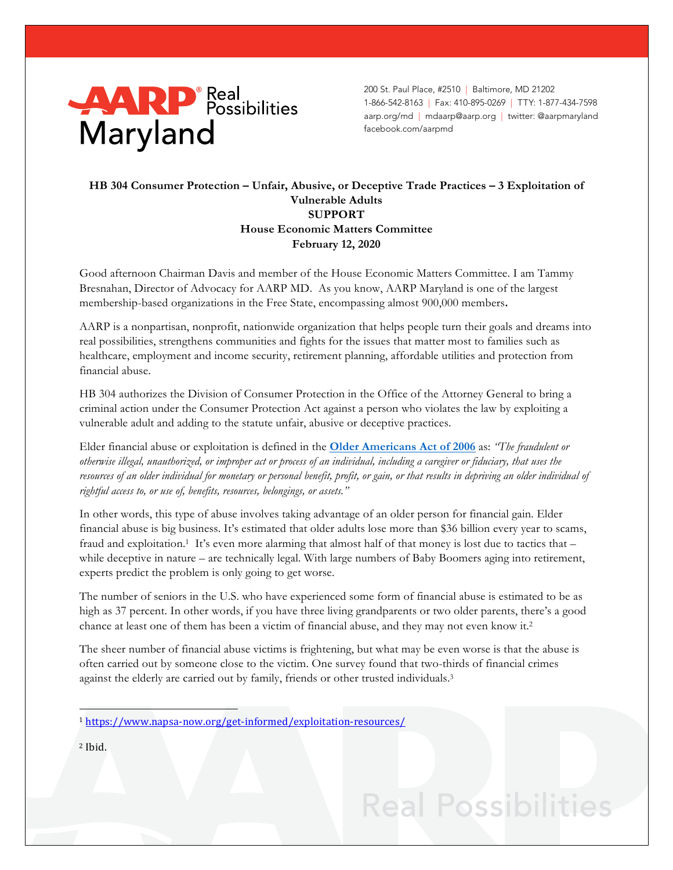

200 St. Paul Place, #2510 | Baltimore, MD 21202 1-866-542-8163 | Fax: 410-895-0269 | TTY: 1-877-434-7598 aarp.org/md | mdaarp@aarp.org | twitter: @aarpmaryland facebook.com/aarpmd

## **HB 304 Consumer Protection – Unfair, Abusive, or Deceptive Trade Practices – 3 Exploitation of Vulnerable Adults SUPPORT House Economic Matters Committee February 12, 2020**

Good afternoon Chairman Davis and member of the House Economic Matters Committee. I am Tammy Bresnahan, Director of Advocacy for AARP MD. As you know, AARP Maryland is one of the largest membership-based organizations in the Free State, encompassing almost 900,000 members**.** 

AARP is a nonpartisan, nonprofit, nationwide organization that helps people turn their goals and dreams into real possibilities, strengthens communities and fights for the issues that matter most to families such as healthcare, employment and income security, retirement planning, affordable utilities and protection from financial abuse.

HB 304 authorizes the Division of Consumer Protection in the Office of the Attorney General to bring a criminal action under the Consumer Protection Act against a person who violates the law by exploiting a vulnerable adult and adding to the statute unfair, abusive or deceptive practices.

Elder financial abuse or exploitation is defined in the **Older Americans Act of 2006** as: *"The fraudulent or otherwise illegal, unauthorized, or improper act or process of an individual, including a caregiver or fiduciary, that uses the resources of an older individual for monetary or personal benefit, profit, or gain, or that results in depriving an older individual of rightful access to, or use of, benefits, resources, belongings, or assets."*

In other words, this type of abuse involves taking advantage of an older person for financial gain. Elder financial abuse is big business. It's estimated that older adults lose more than \$36 billion every year to scams, fraud and exploitation.1 It's even more alarming that almost half of that money is lost due to tactics that – while deceptive in nature – are technically legal. With large numbers of Baby Boomers aging into retirement, experts predict the problem is only going to get worse.

The number of seniors in the U.S. who have experienced some form of financial abuse is estimated to be as high as 37 percent. In other words, if you have three living grandparents or two older parents, there's a good chance at least one of them has been a victim of financial abuse, and they may not even know it.2

The sheer number of financial abuse victims is frightening, but what may be even worse is that the abuse is often carried out by someone close to the victim. One survey found that two-thirds of financial crimes against the elderly are carried out by family, friends or other trusted individuals.3

<sup>2</sup> Ibid.

 

## **Real Possibilities**

<sup>1</sup> https://www.napsa-now.org/get-informed/exploitation-resources/